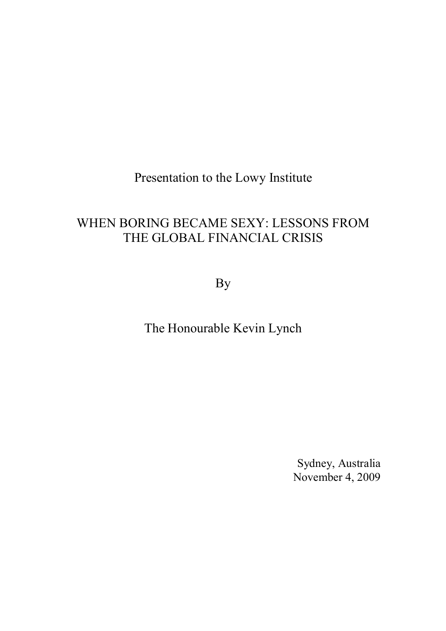Presentation to the Lowy Institute

# WHEN BORING BECAME SEXY: LESSONS FROM THE GLOBAL FINANCIAL CRISIS

By

The Honourable Kevin Lynch

Sydney, Australia November 4, 2009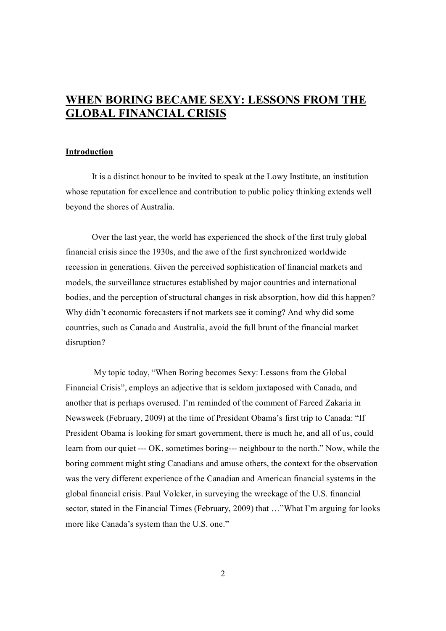# **WHEN BORING BECAME SEXY: LESSONS FROM THE GLOBAL FINANCIAL CRISIS**

#### **Introduction**

It is a distinct honour to be invited to speak at the Lowy Institute, an institution whose reputation for excellence and contribution to public policy thinking extends well beyond the shores of Australia.

Over the last year, the world has experienced the shock of the first truly global financial crisis since the 1930s, and the awe of the first synchronized worldwide recession in generations. Given the perceived sophistication of financial markets and models, the surveillance structures established by major countries and international bodies, and the perception of structural changes in risk absorption, how did this happen? Why didn't economic forecasters if not markets see it coming? And why did some countries, such as Canada and Australia, avoid the full brunt of the financial market disruption?

My topic today, "When Boring becomes Sexy: Lessons from the Global Financial Crisis", employs an adjective that is seldom juxtaposed with Canada, and another that is perhaps overused. I'm reminded of the comment of Fareed Zakaria in Newsweek (February, 2009) at the time of President Obama's first trip to Canada: "If President Obama is looking for smart government, there is much he, and all of us, could learn from our quiet --- OK, sometimes boring--- neighbour to the north." Now, while the boring comment might sting Canadians and amuse others, the context for the observation was the very different experience of the Canadian and American financial systems in the global financial crisis. Paul Volcker, in surveying the wreckage of the U.S. financial sector, stated in the Financial Times (February, 2009) that …"What I'm arguing for looks more like Canada's system than the U.S. one."

2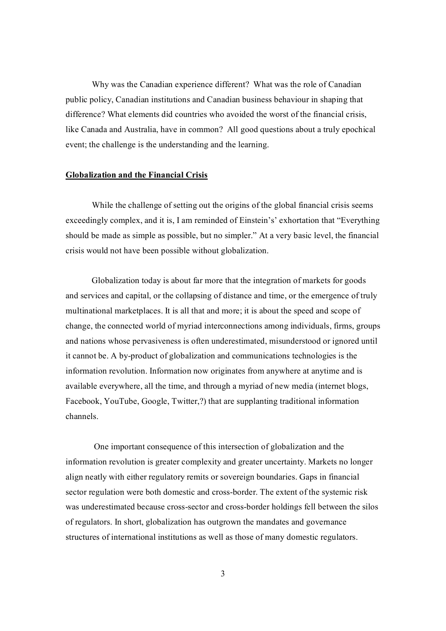Why was the Canadian experience different? What was the role of Canadian public policy, Canadian institutions and Canadian business behaviour in shaping that difference? What elements did countries who avoided the worst of the financial crisis, like Canada and Australia, have in common? All good questions about a truly epochical event; the challenge is the understanding and the learning.

#### **Globalization and the Financial Crisis**

While the challenge of setting out the origins of the global financial crisis seems exceedingly complex, and it is, I am reminded of Einstein's' exhortation that "Everything should be made as simple as possible, but no simpler." At a very basic level, the financial crisis would not have been possible without globalization.

Globalization today is about far more that the integration of markets for goods and services and capital, or the collapsing of distance and time, or the emergence of truly multinational marketplaces. It is all that and more; it is about the speed and scope of change, the connected world of myriad interconnections among individuals, firms, groups and nations whose pervasiveness is often underestimated, misunderstood or ignored until it cannot be. A by-product of globalization and communications technologies is the information revolution. Information now originates from anywhere at anytime and is available everywhere, all the time, and through a myriad of new media (internet blogs, Facebook, YouTube, Google, Twitter,?) that are supplanting traditional information channels.

One important consequence of this intersection of globalization and the information revolution is greater complexity and greater uncertainty. Markets no longer align neatly with either regulatory remits or sovereign boundaries. Gaps in financial sector regulation were both domestic and cross-border. The extent of the systemic risk was underestimated because cross-sector and cross-border holdings fell between the silos of regulators. In short, globalization has outgrown the mandates and governance structures of international institutions as well as those of many domestic regulators.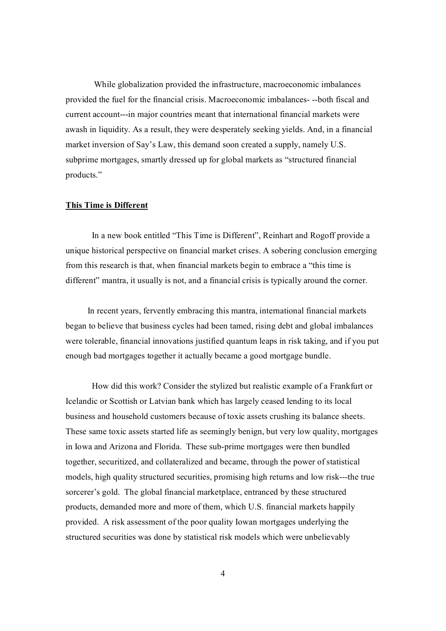While globalization provided the infrastructure, macroeconomic imbalances provided the fuel for the financial crisis. Macroeconomic imbalances---both fiscal and current account---in major countries meant that international financial markets were awash in liquidity. As a result, they were desperately seeking yields. And, in a financial market inversion of Say's Law, this demand soon created a supply, namely U.S. subprime mortgages, smartly dressed up for global markets as "structured financial products."

#### **This Time is Different**

In a new book entitled "This Time is Different", Reinhart and Rogoff provide a unique historical perspective on financial market crises. A sobering conclusion emerging from this research is that, when financial markets begin to embrace a "this time is different" mantra, it usually is not, and a financial crisis is typically around the corner.

In recent years, fervently embracing this mantra, international financial markets began to believe that business cycles had been tamed, rising debt and global imbalances were tolerable, financial innovations justified quantum leaps in risk taking, and if you put enough bad mortgages together it actually became a good mortgage bundle.

How did this work? Consider the stylized but realistic example of a Frankfurt or Icelandic or Scottish or Latvian bank which has largely ceased lending to its local business and household customers because of toxic assets crushing its balance sheets. These same toxic assets started life as seemingly benign, but very low quality, mortgages in Iowa and Arizona and Florida. These sub-prime mortgages were then bundled together, securitized, and collateralized and became, through the power of statistical models, high quality structured securities, promising high returns and low risk---the true sorcerer's gold. The global financial marketplace, entranced by these structured products, demanded more and more of them, which U.S. financial markets happily provided. A risk assessment of the poor quality Iowan mortgages underlying the structured securities was done by statistical risk models which were unbelievably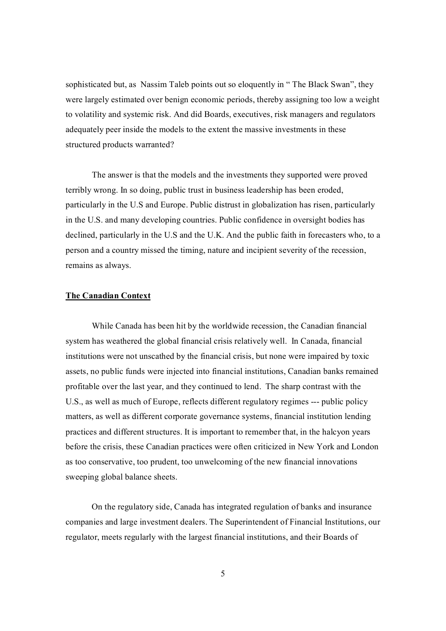sophisticated but, as Nassim Taleb points out so eloquently in "The Black Swan", they were largely estimated over benign economic periods, thereby assigning too low a weight to volatility and systemic risk. And did Boards, executives, risk managers and regulators adequately peer inside the models to the extent the massive investments in these structured products warranted?

The answer is that the models and the investments they supported were proved terribly wrong. In so doing, public trust in business leadership has been eroded, particularly in the U.S and Europe. Public distrust in globalization has risen, particularly in the U.S. and many developing countries. Public confidence in oversight bodies has declined, particularly in the U.S and the U.K. And the public faith in forecasters who, to a person and a country missed the timing, nature and incipient severity of the recession, remains as always.

## **The Canadian Context**

While Canada has been hit by the worldwide recession, the Canadian financial system has weathered the global financial crisis relatively well. In Canada, financial institutions were not unscathed by the financial crisis, but none were impaired by toxic assets, no public funds were injected into financial institutions, Canadian banks remained profitable over the last year, and they continued to lend. The sharp contrast with the U.S., as well as much of Europe, reflects different regulatory regimes --- public policy matters, as well as different corporate governance systems, financial institution lending practices and different structures. It is important to remember that, in the halcyon years before the crisis, these Canadian practices were often criticized in New York and London as too conservative, too prudent, too unwelcoming of the new financial innovations sweeping global balance sheets.

On the regulatory side, Canada has integrated regulation of banks and insurance companies and large investment dealers. The Superintendent of Financial Institutions, our regulator, meets regularly with the largest financial institutions, and their Boards of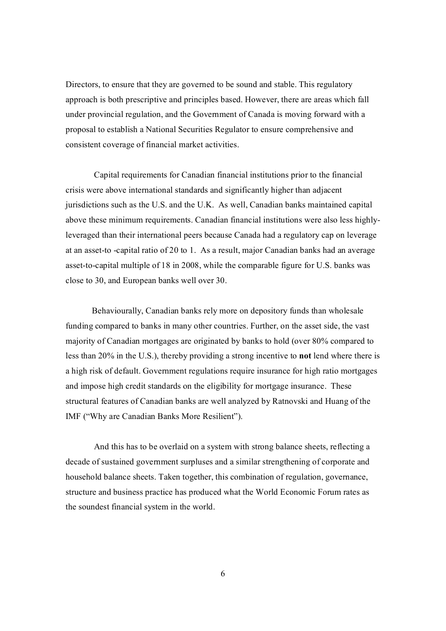Directors, to ensure that they are governed to be sound and stable. This regulatory approach is both prescriptive and principles based. However, there are areas which fall under provincial regulation, and the Government of Canada is moving forward with a proposal to establish a National Securities Regulator to ensure comprehensive and consistent coverage of financial market activities.

Capital requirements for Canadian financial institutions prior to the financial crisis were above international standards and significantly higher than adjacent jurisdictions such as the U.S. and the U.K. As well, Canadian banks maintained capital above these minimum requirements. Canadian financial institutions were also less highly leveraged than their international peers because Canada had a regulatory cap on leverage at an assetto capital ratio of 20 to 1. As a result, major Canadian banks had an average asset-to-capital multiple of 18 in 2008, while the comparable figure for U.S. banks was close to 30, and European banks well over 30.

Behaviourally, Canadian banks rely more on depository funds than wholesale funding compared to banks in many other countries. Further, on the asset side, the vast majority of Canadian mortgages are originated by banks to hold (over 80% compared to less than 20% in the U.S.), thereby providing a strong incentive to **not** lend where there is a high risk of default. Government regulations require insurance for high ratio mortgages and impose high credit standards on the eligibility for mortgage insurance. These structural features of Canadian banks are well analyzed by Ratnovski and Huang of the IMF ("Why are Canadian Banks More Resilient").

And this has to be overlaid on a system with strong balance sheets, reflecting a decade of sustained government surpluses and a similar strengthening of corporate and household balance sheets. Taken together, this combination of regulation, governance, structure and business practice has produced what the World Economic Forum rates as the soundest financial system in the world.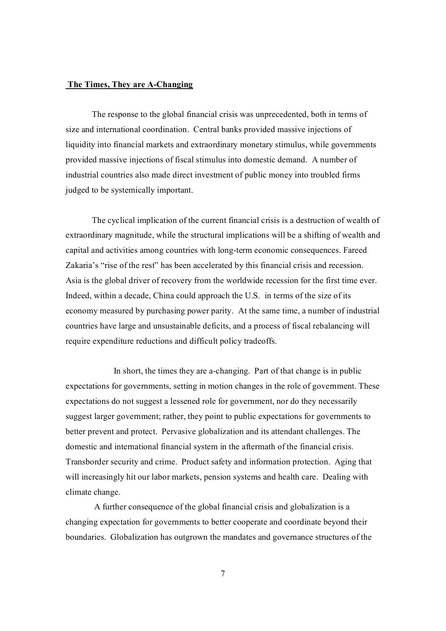#### The Times, They are A-Changing

The response to the global financial crisis was unprecedented, both in terms of size and international coordination. Central banks provided massive injections of liquidity into financial markets and extraordinary monetary stimulus, while governments provided massive injections of fiscal stimulus into domestic demand. A number of industrial countries also made direct investment of public money into troubled firms judged to be systemically important.

The cyclical implication of the current financial crisis is a destruction of wealth of extraordinary magnitude, while the structural implications will be a shifting of wealth and capital and activities among countries with long-term economic consequences. Fareed Zakaria's "rise of the rest" has been accelerated by this financial crisis and recession. Asia is the global driver of recovery from the worldwide recession for the first time ever. Indeed, within a decade, China could approach the U.S. in terms of the size of its economy measured by purchasing power parity. At the same time, a number of industrial countries have large and unsustainable deficits, and a process of fiscal rebalancing will require expenditure reductions and difficult policy tradeoffs.

In short, the times they are achanging. Part of that change is in public expectations for governments, setting in motion changes in the role of government. These expectations do not suggest a lessened role for government, nor do they necessarily suggest larger government; rather, they point to public expectations for governments to better prevent and protect. Pervasive globalization and its attendant challenges. The domestic and international financial system in the aftermath of the financial crisis. Transborder security and crime. Product safety and information protection. Aging that will increasingly hit our labor markets, pension systems and health care. Dealing with climate change.

A further consequence of the global financial crisis and globalization is a changing expectation for governments to better cooperate and coordinate beyond their boundaries. Globalization has outgrown the mandates and governance structures of the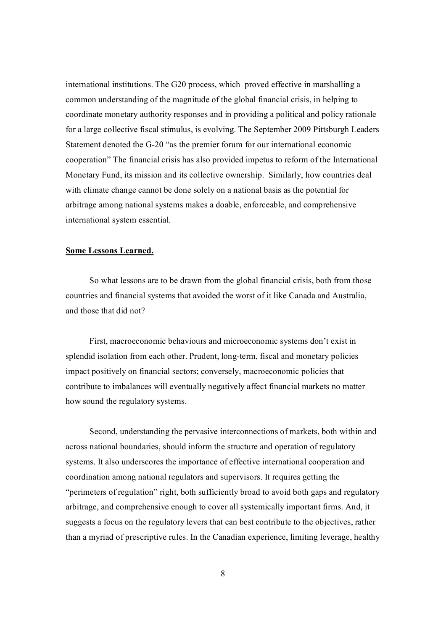international institutions. The G20 process, which proved effective in marshalling a common understanding of the magnitude of the global financial crisis, in helping to coordinate monetary authority responses and in providing a political and policy rationale for a large collective fiscal stimulus, is evolving. The September 2009 Pittsburgh Leaders Statement denoted the G-20 "as the premier forum for our international economic cooperation" The financial crisis has also provided impetus to reform of the International Monetary Fund, its mission and its collective ownership. Similarly, how countries deal with climate change cannot be done solely on a national basis as the potential for arbitrage among national systems makes a doable, enforceable, and comprehensive international system essential.

#### **Some Lessons Learned.**

So what lessons are to be drawn from the global financial crisis, both from those countries and financial systems that avoided the worst of it like Canada and Australia, and those that did not?

First, macroeconomic behaviours and microeconomic systems don't exist in splendid isolation from each other. Prudent, long-term, fiscal and monetary policies impact positively on financial sectors; conversely, macroeconomic policies that contribute to imbalances will eventually negatively affect financial markets no matter how sound the regulatory systems.

Second, understanding the pervasive interconnections of markets, both within and across national boundaries, should inform the structure and operation of regulatory systems. It also underscores the importance of effective international cooperation and coordination among national regulators and supervisors. It requires getting the "perimeters of regulation" right, both sufficiently broad to avoid both gaps and regulatory arbitrage, and comprehensive enough to cover all systemically important firms. And, it suggests a focus on the regulatory levers that can best contribute to the objectives, rather than a myriad of prescriptive rules. In the Canadian experience, limiting leverage, healthy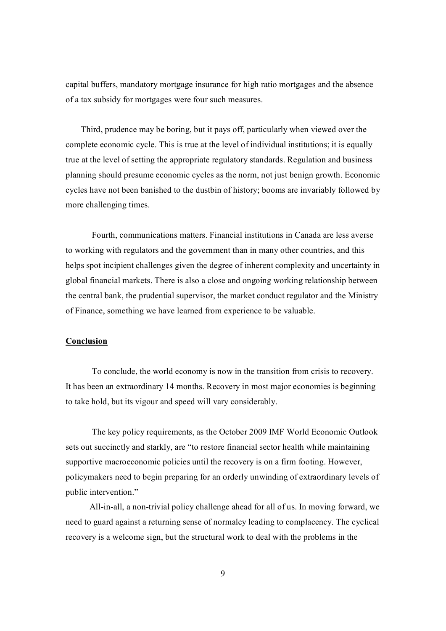capital buffers, mandatory mortgage insurance for high ratio mortgages and the absence of a tax subsidy for mortgages were four such measures.

Third, prudence may be boring, but it pays off, particularly when viewed over the complete economic cycle. This is true at the level of individual institutions; it is equally true at the level of setting the appropriate regulatory standards. Regulation and business planning should presume economic cycles as the norm, not just benign growth. Economic cycles have not been banished to the dustbin of history; booms are invariably followed by more challenging times.

Fourth, communications matters. Financial institutions in Canada are less averse to working with regulators and the government than in many other countries, and this helps spot incipient challenges given the degree of inherent complexity and uncertainty in global financial markets. There is also a close and ongoing working relationship between the central bank, the prudential supervisor, the market conduct regulator and the Ministry of Finance, something we have learned from experience to be valuable.

### **Conclusion**

To conclude, the world economy is now in the transition from crisis to recovery. It has been an extraordinary 14 months. Recovery in most major economies is beginning to take hold, but its vigour and speed will vary considerably.

The key policy requirements, as the October 2009 IMF World Economic Outlook sets out succinctly and starkly, are "to restore financial sector health while maintaining supportive macroeconomic policies until the recovery is on a firm footing. However, policymakers need to begin preparing for an orderly unwinding of extraordinary levels of public intervention."

All-in-all, a non-trivial policy challenge ahead for all of us. In moving forward, we need to guard against a returning sense of normalcy leading to complacency. The cyclical recovery is a welcome sign, but the structural work to deal with the problems in the